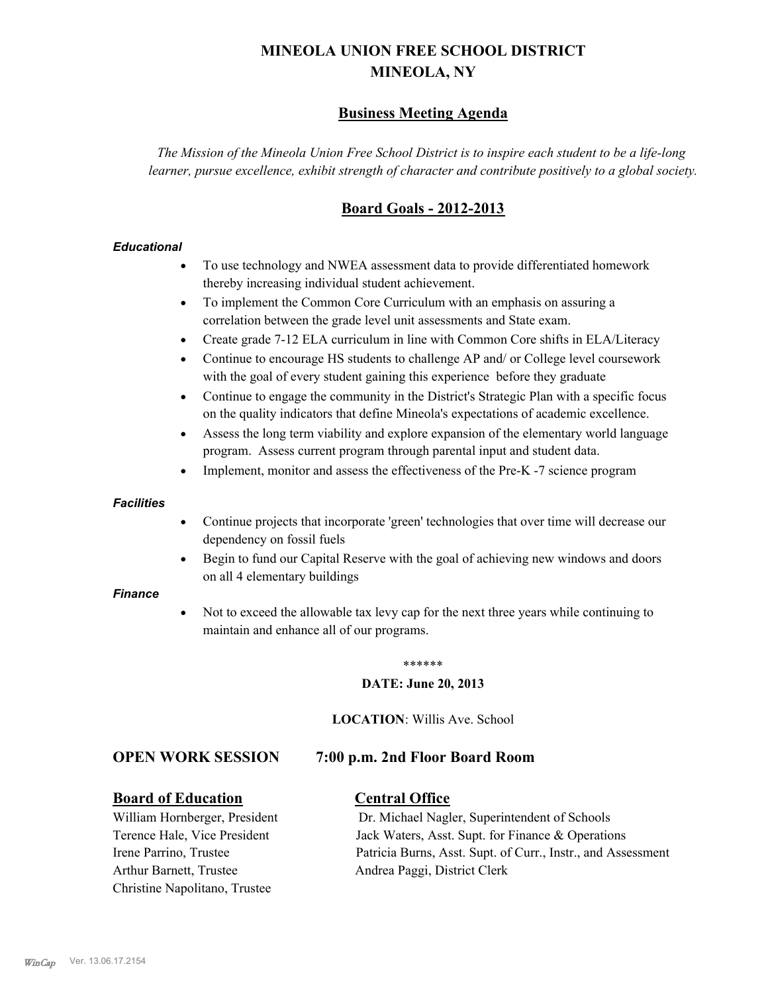# **MINEOLA UNION FREE SCHOOL DISTRICT MINEOLA, NY**

# **Business Meeting Agenda**

*The Mission of the Mineola Union Free School District is to inspire each student to be a life-long learner, pursue excellence, exhibit strength of character and contribute positively to a global society.*

# **Board Goals - 2012-2013**

# *Educational*

- · To use technology and NWEA assessment data to provide differentiated homework thereby increasing individual student achievement.
- · To implement the Common Core Curriculum with an emphasis on assuring a correlation between the grade level unit assessments and State exam.
- Create grade 7-12 ELA curriculum in line with Common Core shifts in ELA/Literacy
- Continue to encourage HS students to challenge AP and/ or College level coursework with the goal of every student gaining this experience before they graduate
- · Continue to engage the community in the District's Strategic Plan with a specific focus on the quality indicators that define Mineola's expectations of academic excellence.
- Assess the long term viability and explore expansion of the elementary world language program. Assess current program through parental input and student data.
- Implement, monitor and assess the effectiveness of the Pre-K -7 science program

## *Facilities*

- · Continue projects that incorporate 'green' technologies that over time will decrease our dependency on fossil fuels
- · Begin to fund our Capital Reserve with the goal of achieving new windows and doors on all 4 elementary buildings

## *Finance*

Not to exceed the allowable tax levy cap for the next three years while continuing to maintain and enhance all of our programs.

#### \*\*\*\*\*\*

# **DATE: June 20, 2013**

**LOCATION**: Willis Ave. School

# **OPEN WORK SESSION 7:00 p.m. 2nd Floor Board Room**

# **Board of Education Central Office**

Arthur Barnett, Trustee Andrea Paggi, District Clerk Christine Napolitano, Trustee

William Hornberger, President Dr. Michael Nagler, Superintendent of Schools Terence Hale, Vice President Jack Waters, Asst. Supt. for Finance & Operations Irene Parrino, Trustee Patricia Burns, Asst. Supt. of Curr., Instr., and Assessment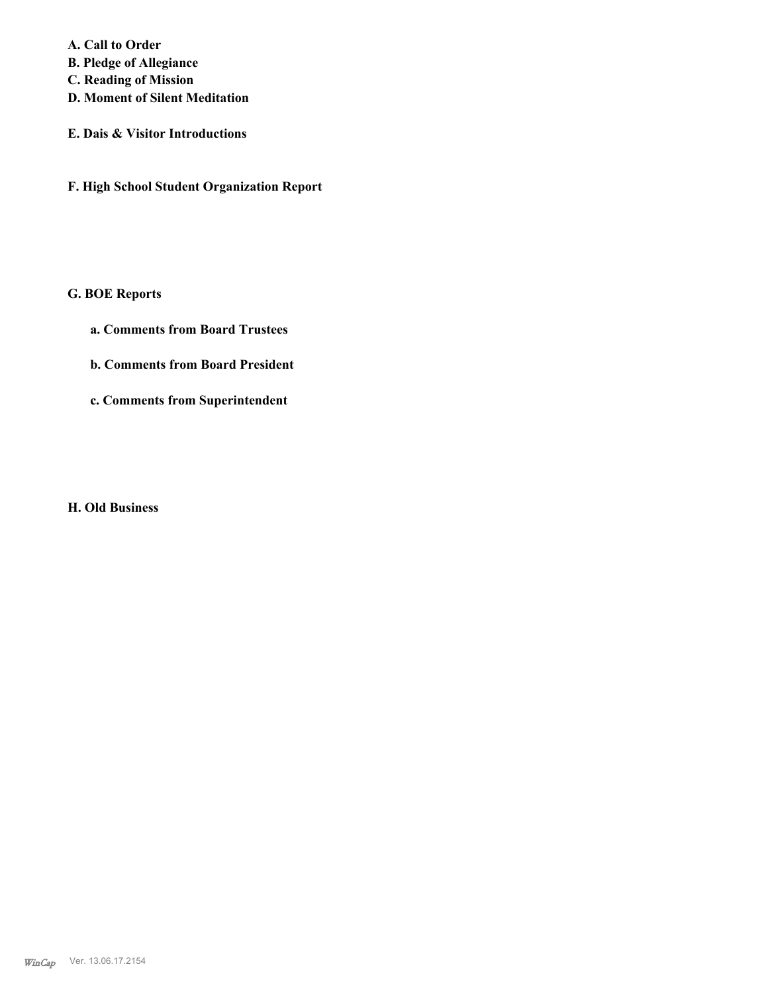**A. Call to Order** 

- **B. Pledge of Allegiance**
- **C. Reading of Mission**
- **D. Moment of Silent Meditation**
- **E. Dais & Visitor Introductions**
- **F. High School Student Organization Report**

# **G. BOE Reports**

- **a. Comments from Board Trustees**
- **b. Comments from Board President**
- **c. Comments from Superintendent**

**H. Old Business**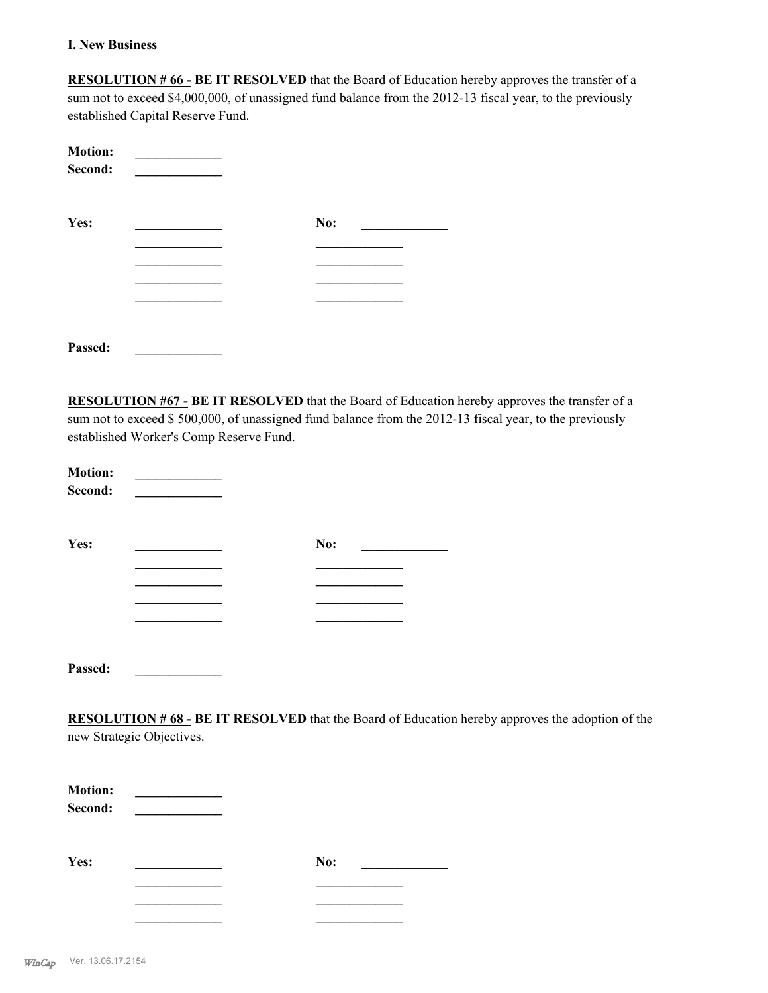# **I. New Business**

**RESOLUTION # 66 - BE IT RESOLVED** that the Board of Education hereby approves the transfer of a sum not to exceed \$4,000,000, of unassigned fund balance from the 2012-13 fiscal year, to the previously established Capital Reserve Fund.

| <b>Motion:</b><br>Second: |     |  |
|---------------------------|-----|--|
| Yes:                      | No: |  |
|                           |     |  |
|                           |     |  |
|                           |     |  |
|                           |     |  |
|                           |     |  |
| Passed:                   |     |  |

**RESOLUTION #67 - BE IT RESOLVED** that the Board of Education hereby approves the transfer of a sum not to exceed \$ 500,000, of unassigned fund balance from the 2012-13 fiscal year, to the previously established Worker's Comp Reserve Fund.

| <b>Motion:</b><br>Second: |     |  |
|---------------------------|-----|--|
| Yes:                      | No: |  |
|                           |     |  |
|                           |     |  |
| Passed:                   |     |  |

**RESOLUTION # 68 - BE IT RESOLVED** that the Board of Education hereby approves the adoption of the new Strategic Objectives.

| <b>Motion:</b><br>Second: |  |     |
|---------------------------|--|-----|
| Yes:                      |  | No: |
|                           |  |     |
|                           |  |     |
|                           |  |     |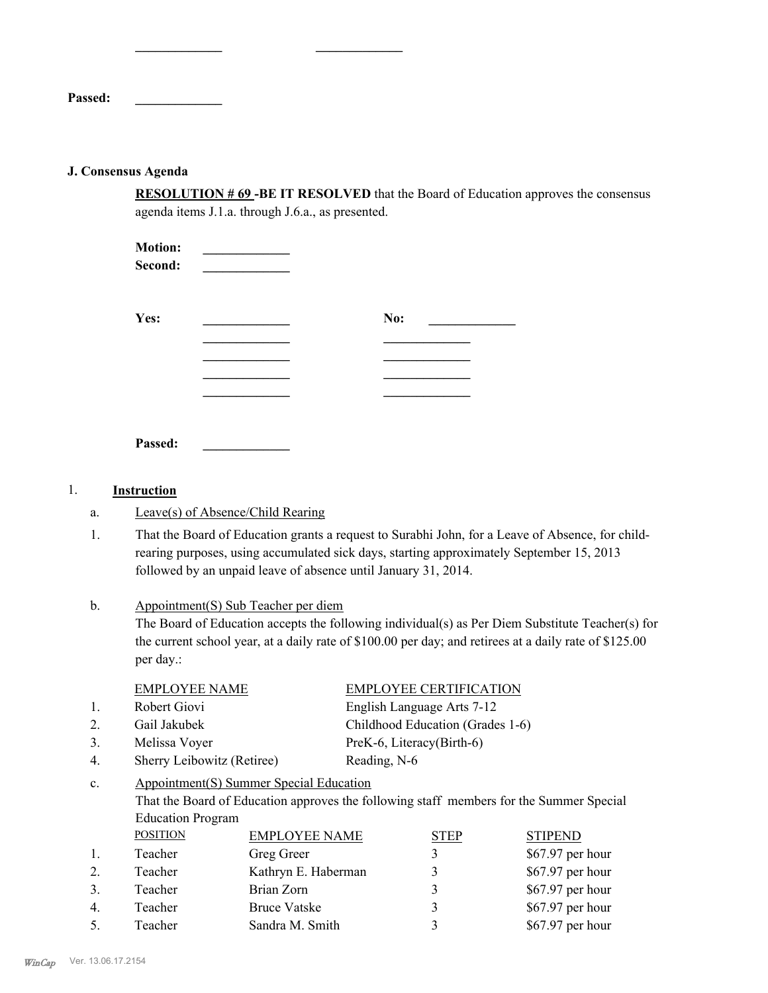**Passed: \_\_\_\_\_\_\_\_\_\_\_\_\_**

## **J. Consensus Agenda**

**RESOLUTION # 69 -BE IT RESOLVED** that the Board of Education approves the consensus agenda items J.1.a. through J.6.a., as presented.

| <b>Motion:</b><br>Second: |     |  |
|---------------------------|-----|--|
| Yes:                      | No: |  |
|                           |     |  |
|                           |     |  |
| Passed:                   |     |  |

**\_\_\_\_\_\_\_\_\_\_\_\_\_ \_\_\_\_\_\_\_\_\_\_\_\_\_**

#### 1. **Instruction**

- a. Leave(s) of Absence/Child Rearing
- That the Board of Education grants a request to Surabhi John, for a Leave of Absence, for childrearing purposes, using accumulated sick days, starting approximately September 15, 2013 followed by an unpaid leave of absence until January 31, 2014. 1.

#### Appointment(S) Sub Teacher per diem b.

The Board of Education accepts the following individual(s) as Per Diem Substitute Teacher(s) for the current school year, at a daily rate of \$100.00 per day; and retirees at a daily rate of \$125.00 per day.:

| EMPLOYEE NAME | <b>EMPLOYEE CERTIFICATION</b>    |
|---------------|----------------------------------|
| Robert Giovi  | English Language Arts 7-12       |
| Gail Jakubek  | Childhood Education (Grades 1-6) |

- 3. Melissa Voyer PreK-6, Literacy(Birth-6)
- 4. Sherry Leibowitz (Retiree) Reading, N-6

#### Appointment(S) Summer Special Education c.

That the Board of Education approves the following staff members for the Summer Special Education Program

|    | <b>POSITION</b> | <b>EMPLOYEE NAME</b> | STEP | <b>STIPEND</b>    |
|----|-----------------|----------------------|------|-------------------|
| 1. | Teacher         | Greg Greer           |      | $$67.97$ per hour |
| 2. | Teacher         | Kathryn E. Haberman  |      | $$67.97$ per hour |
| 3. | Teacher         | Brian Zorn           |      | $$67.97$ per hour |
| 4. | Teacher         | <b>Bruce Vatske</b>  |      | $$67.97$ per hour |
| 5. | Teacher         | Sandra M. Smith      |      | $$67.97$ per hour |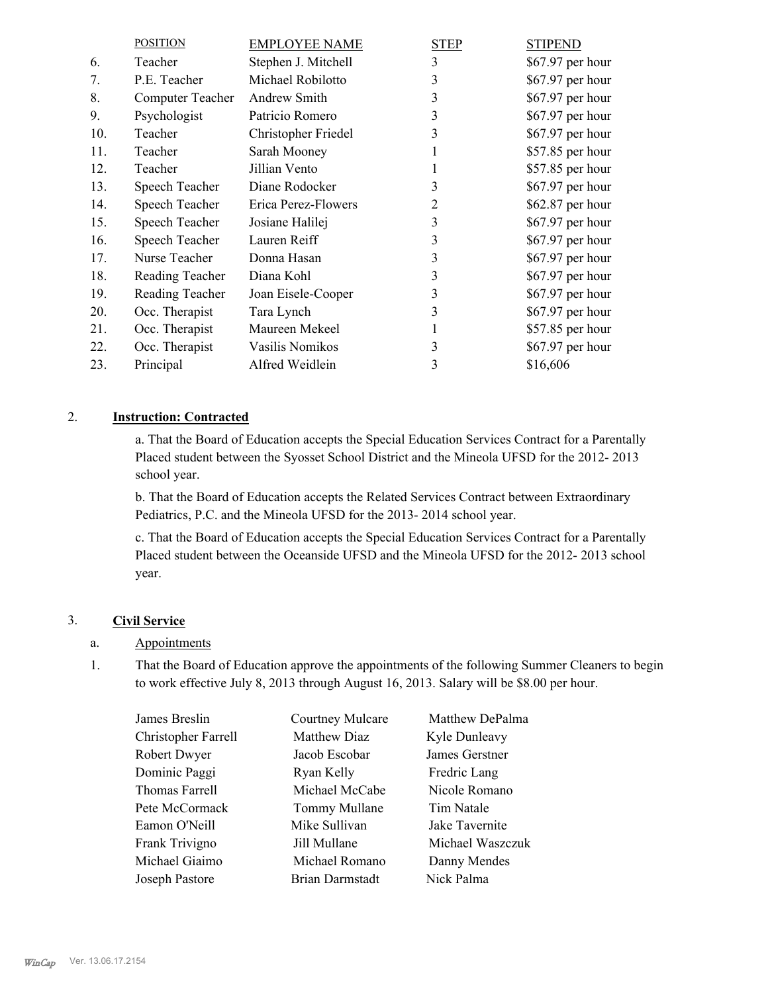|     | <b>POSITION</b>  | <b>EMPLOYEE NAME</b> | <b>STEP</b> | <b>STIPEND</b>    |
|-----|------------------|----------------------|-------------|-------------------|
| 6.  | Teacher          | Stephen J. Mitchell  | 3           | $$67.97$ per hour |
| 7.  | P.E. Teacher     | Michael Robilotto    | 3           | \$67.97 per hour  |
| 8.  | Computer Teacher | Andrew Smith         | 3           | \$67.97 per hour  |
| 9.  | Psychologist     | Patricio Romero      | 3           | \$67.97 per hour  |
| 10. | Teacher          | Christopher Friedel  | 3           | \$67.97 per hour  |
| 11. | Teacher          | Sarah Mooney         | 1           | \$57.85 per hour  |
| 12. | Teacher          | Jillian Vento        |             | \$57.85 per hour  |
| 13. | Speech Teacher   | Diane Rodocker       | 3           | \$67.97 per hour  |
| 14. | Speech Teacher   | Erica Perez-Flowers  | 2           | \$62.87 per hour  |
| 15. | Speech Teacher   | Josiane Halilej      | 3           | \$67.97 per hour  |
| 16. | Speech Teacher   | Lauren Reiff         | 3           | \$67.97 per hour  |
| 17. | Nurse Teacher    | Donna Hasan          | 3           | \$67.97 per hour  |
| 18. | Reading Teacher  | Diana Kohl           | 3           | \$67.97 per hour  |
| 19. | Reading Teacher  | Joan Eisele-Cooper   | 3           | \$67.97 per hour  |
| 20. | Occ. Therapist   | Tara Lynch           | 3           | \$67.97 per hour  |
| 21. | Occ. Therapist   | Maureen Mekeel       |             | \$57.85 per hour  |
| 22. | Occ. Therapist   | Vasilis Nomikos      | 3           | \$67.97 per hour  |
| 23. | Principal        | Alfred Weidlein      | 3           | \$16,606          |

# 2. **Instruction: Contracted**

a. That the Board of Education accepts the Special Education Services Contract for a Parentally Placed student between the Syosset School District and the Mineola UFSD for the 2012- 2013 school year.

b. That the Board of Education accepts the Related Services Contract between Extraordinary Pediatrics, P.C. and the Mineola UFSD for the 2013- 2014 school year.

c. That the Board of Education accepts the Special Education Services Contract for a Parentally Placed student between the Oceanside UFSD and the Mineola UFSD for the 2012- 2013 school year.

# 3. **Civil Service**

# a. Appointments

That the Board of Education approve the appointments of the following Summer Cleaners to begin to work effective July 8, 2013 through August 16, 2013. Salary will be \$8.00 per hour. 1.

| James Breslin       | Courtney Mulcare | Matthew DePalma  |
|---------------------|------------------|------------------|
| Christopher Farrell | Matthew Diaz     | Kyle Dunleavy    |
| Robert Dwyer        | Jacob Escobar    | James Gerstner   |
| Dominic Paggi       | Ryan Kelly       | Fredric Lang     |
| Thomas Farrell      | Michael McCabe   | Nicole Romano    |
| Pete McCormack      | Tommy Mullane    | Tim Natale       |
| Eamon O'Neill       | Mike Sullivan    | Jake Tavernite   |
| Frank Trivigno      | Jill Mullane     | Michael Waszczuk |
| Michael Giaimo      | Michael Romano   | Danny Mendes     |
| Joseph Pastore      | Brian Darmstadt  | Nick Palma       |
|                     |                  |                  |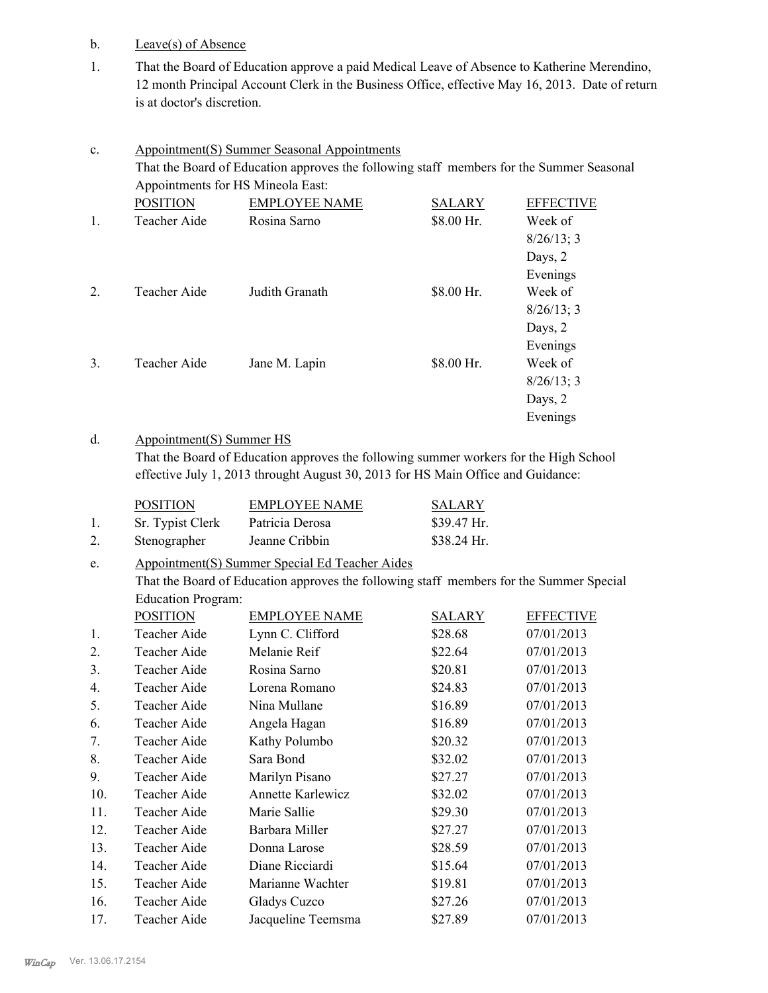- b. Leave(s) of Absence
- That the Board of Education approve a paid Medical Leave of Absence to Katherine Merendino, 12 month Principal Account Clerk in the Business Office, effective May 16, 2013. Date of return is at doctor's discretion. 1.

| $\mathbf{c}$ .   |                                                                                          | <b>Appointment(S) Summer Seasonal Appointments</b> |               |                  |  |
|------------------|------------------------------------------------------------------------------------------|----------------------------------------------------|---------------|------------------|--|
|                  | That the Board of Education approves the following staff members for the Summer Seasonal |                                                    |               |                  |  |
|                  |                                                                                          | Appointments for HS Mineola East:                  |               |                  |  |
|                  | <b>POSITION</b>                                                                          | <b>EMPLOYEE NAME</b>                               | <b>SALARY</b> | <b>EFFECTIVE</b> |  |
| $\mathbf{1}$ .   | Teacher Aide                                                                             | Rosina Sarno                                       | \$8.00 Hr.    | Week of          |  |
|                  |                                                                                          |                                                    |               | 8/26/13; 3       |  |
|                  |                                                                                          |                                                    |               | Days, 2          |  |
|                  |                                                                                          |                                                    |               | Evenings         |  |
| $\overline{2}$ . | Teacher Aide                                                                             | Judith Granath                                     | \$8.00 Hr.    | Week of          |  |
|                  |                                                                                          |                                                    |               | $8/26/13$ ; 3    |  |
|                  |                                                                                          |                                                    |               | Days, 2          |  |
|                  |                                                                                          |                                                    |               | Evenings         |  |
| 3.               | Teacher Aide                                                                             | Jane M. Lapin                                      | \$8.00 Hr.    | Week of          |  |
|                  |                                                                                          |                                                    |               | 8/26/13; 3       |  |
|                  |                                                                                          |                                                    |               | Days, 2          |  |
|                  |                                                                                          |                                                    |               | Evenings         |  |

#### Appointment(S) Summer HS d.

That the Board of Education approves the following summer workers for the High School effective July 1, 2013 throught August 30, 2013 for HS Main Office and Guidance:

|    | <b>POSITION</b>  | <b>EMPLOYEE NAME</b> | SALARY       |
|----|------------------|----------------------|--------------|
|    | Sr. Typist Clerk | Patricia Derosa      | $$39.47$ Hr. |
| 2. | Stenographer     | Jeanne Cribbin       | \$38.24 Hr.  |

#### Appointment(S) Summer Special Ed Teacher Aides e.

That the Board of Education approves the following staff members for the Summer Special Education Program:

|     | <b>POSITION</b> | <b>EMPLOYEE NAME</b>     | SALARY  | <b>EFFECTIVE</b> |
|-----|-----------------|--------------------------|---------|------------------|
| 1.  | Teacher Aide    | Lynn C. Clifford         | \$28.68 | 07/01/2013       |
| 2.  | Teacher Aide    | Melanie Reif             | \$22.64 | 07/01/2013       |
| 3.  | Teacher Aide    | Rosina Sarno             | \$20.81 | 07/01/2013       |
| 4.  | Teacher Aide    | Lorena Romano            | \$24.83 | 07/01/2013       |
| 5.  | Teacher Aide    | Nina Mullane             | \$16.89 | 07/01/2013       |
| 6.  | Teacher Aide    | Angela Hagan             | \$16.89 | 07/01/2013       |
| 7.  | Teacher Aide    | Kathy Polumbo            | \$20.32 | 07/01/2013       |
| 8.  | Teacher Aide    | Sara Bond                | \$32.02 | 07/01/2013       |
| 9.  | Teacher Aide    | Marilyn Pisano           | \$27.27 | 07/01/2013       |
| 10. | Teacher Aide    | <b>Annette Karlewicz</b> | \$32.02 | 07/01/2013       |
| 11. | Teacher Aide    | Marie Sallie             | \$29.30 | 07/01/2013       |
| 12. | Teacher Aide    | Barbara Miller           | \$27.27 | 07/01/2013       |
| 13. | Teacher Aide    | Donna Larose             | \$28.59 | 07/01/2013       |
| 14. | Teacher Aide    | Diane Ricciardi          | \$15.64 | 07/01/2013       |
| 15. | Teacher Aide    | Marianne Wachter         | \$19.81 | 07/01/2013       |
| 16. | Teacher Aide    | Gladys Cuzco             | \$27.26 | 07/01/2013       |
| 17. | Teacher Aide    | Jacqueline Teemsma       | \$27.89 | 07/01/2013       |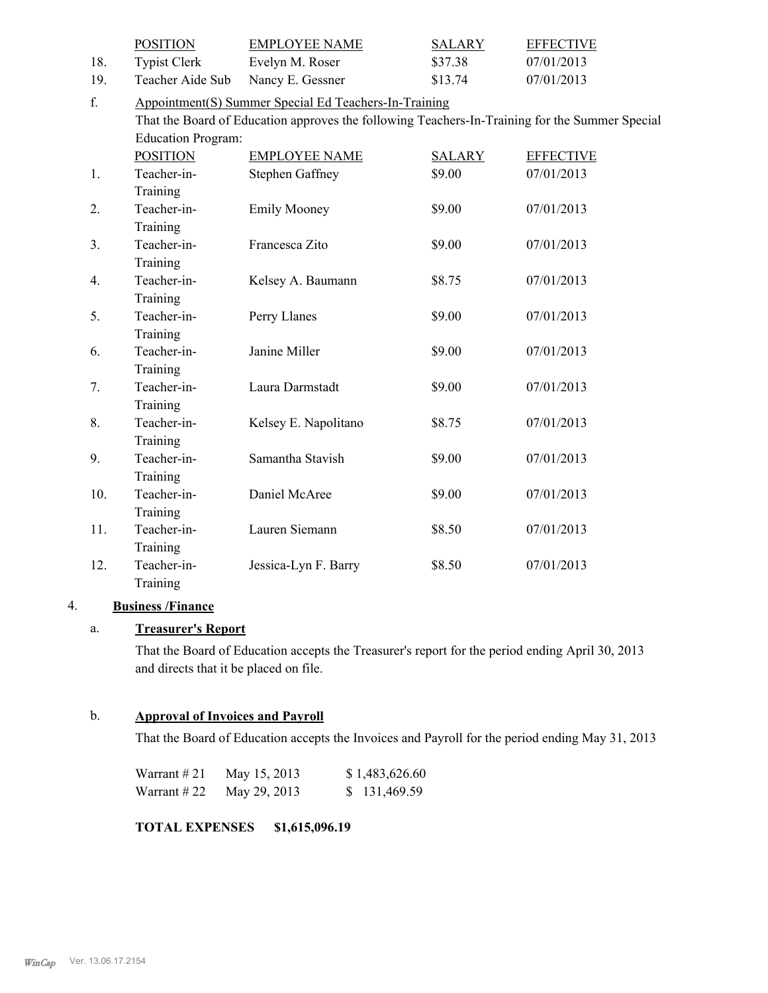|     | <b>POSITION</b>           | <b>EMPLOYEE NAME</b>                                                                           | <b>SALARY</b> | <b>EFFECTIVE</b> |
|-----|---------------------------|------------------------------------------------------------------------------------------------|---------------|------------------|
| 18. | <b>Typist Clerk</b>       | Evelyn M. Roser                                                                                | \$37.38       | 07/01/2013       |
| 19. | Teacher Aide Sub          | Nancy E. Gessner                                                                               | \$13.74       | 07/01/2013       |
| f.  |                           | Appointment(S) Summer Special Ed Teachers-In-Training                                          |               |                  |
|     |                           | That the Board of Education approves the following Teachers-In-Training for the Summer Special |               |                  |
|     | <b>Education Program:</b> |                                                                                                |               |                  |
|     | <b>POSITION</b>           | <b>EMPLOYEE NAME</b>                                                                           | <b>SALARY</b> | <b>EFFECTIVE</b> |
| 1.  | Teacher-in-               | <b>Stephen Gaffney</b>                                                                         | \$9.00        | 07/01/2013       |
|     | Training                  |                                                                                                |               |                  |
| 2.  | Teacher-in-               | <b>Emily Mooney</b>                                                                            | \$9.00        | 07/01/2013       |
|     | Training                  |                                                                                                |               |                  |
| 3.  | Teacher-in-               | Francesca Zito                                                                                 | \$9.00        | 07/01/2013       |
|     | Training                  |                                                                                                |               |                  |
| 4.  | Teacher-in-               | Kelsey A. Baumann                                                                              | \$8.75        | 07/01/2013       |
|     | Training                  |                                                                                                |               |                  |
| 5.  | Teacher-in-               | Perry Llanes                                                                                   | \$9.00        | 07/01/2013       |
|     | Training                  |                                                                                                |               |                  |
| 6.  | Teacher-in-               | Janine Miller                                                                                  | \$9.00        | 07/01/2013       |
|     | Training                  |                                                                                                |               |                  |
| 7.  | Teacher-in-               | Laura Darmstadt                                                                                | \$9.00        | 07/01/2013       |
|     | Training                  |                                                                                                |               |                  |
| 8.  | Teacher-in-               | Kelsey E. Napolitano                                                                           | \$8.75        | 07/01/2013       |
|     | Training                  |                                                                                                |               |                  |
| 9.  | Teacher-in-               | Samantha Stavish                                                                               | \$9.00        | 07/01/2013       |
|     | Training                  |                                                                                                |               |                  |
| 10. | Teacher-in-               | Daniel McAree                                                                                  | \$9.00        | 07/01/2013       |
|     | Training                  |                                                                                                |               |                  |
| 11. | Teacher-in-               | Lauren Siemann                                                                                 | \$8.50        | 07/01/2013       |
|     | Training                  |                                                                                                |               |                  |
| 12. | Teacher-in-               | Jessica-Lyn F. Barry                                                                           | \$8.50        | 07/01/2013       |
|     | Training                  |                                                                                                |               |                  |

# 4. **Business /Finance**

# a. **Treasurer's Report**

That the Board of Education accepts the Treasurer's report for the period ending April 30, 2013 and directs that it be placed on file.

# b. **Approval of Invoices and Payroll**

That the Board of Education accepts the Invoices and Payroll for the period ending May 31, 2013

| Warrant $#21$ | May 15, 2013 | \$1,483,626.60 |
|---------------|--------------|----------------|
| Warrant $#22$ | May 29, 2013 | \$131,469.59   |

**TOTAL EXPENSES \$1,615,096.19**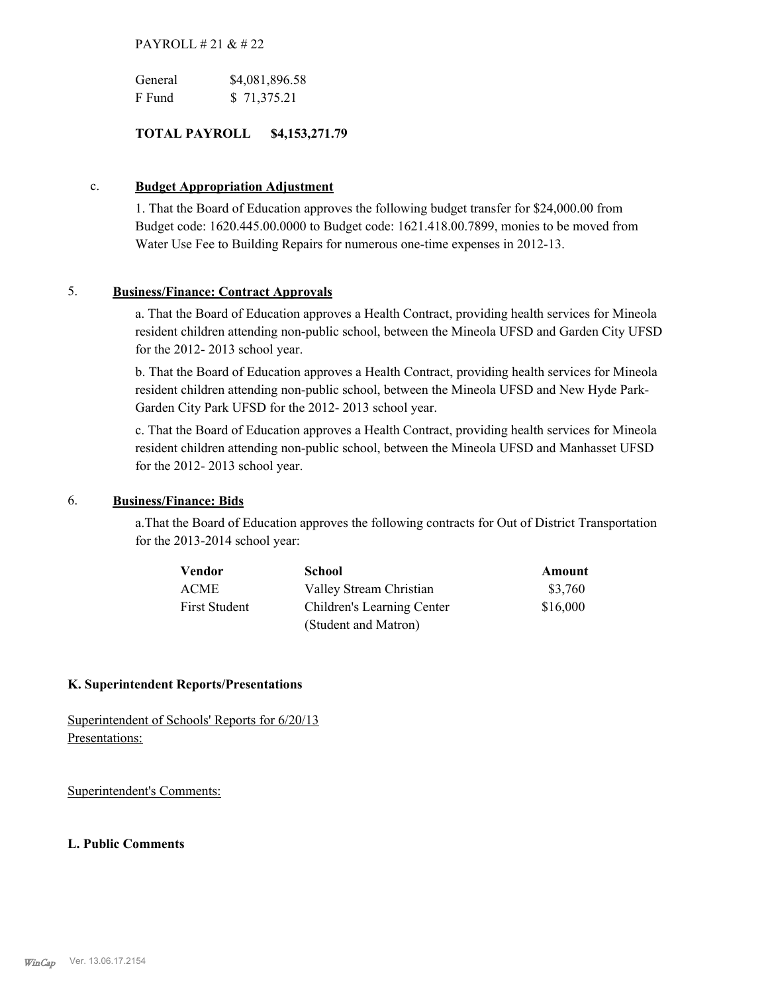# PAYROLL # 21 & # 22

| General | \$4,081,896.58 |
|---------|----------------|
| F Fund  | \$71,375.21    |

# **TOTAL PAYROLL \$4,153,271.79**

# c. **Budget Appropriation Adjustment**

1. That the Board of Education approves the following budget transfer for \$24,000.00 from Budget code: 1620.445.00.0000 to Budget code: 1621.418.00.7899, monies to be moved from Water Use Fee to Building Repairs for numerous one-time expenses in 2012-13.

# 5. **Business/Finance: Contract Approvals**

a. That the Board of Education approves a Health Contract, providing health services for Mineola resident children attending non-public school, between the Mineola UFSD and Garden City UFSD for the 2012- 2013 school year.

b. That the Board of Education approves a Health Contract, providing health services for Mineola resident children attending non-public school, between the Mineola UFSD and New Hyde Park-Garden City Park UFSD for the 2012- 2013 school year.

c. That the Board of Education approves a Health Contract, providing health services for Mineola resident children attending non-public school, between the Mineola UFSD and Manhasset UFSD for the 2012- 2013 school year.

# 6. **Business/Finance: Bids**

a.That the Board of Education approves the following contracts for Out of District Transportation for the 2013-2014 school year:

| Vendor               | <b>School</b>              | Amount   |
|----------------------|----------------------------|----------|
| <b>ACME</b>          | Valley Stream Christian    | \$3,760  |
| <b>First Student</b> | Children's Learning Center | \$16,000 |
|                      | (Student and Matron)       |          |

## **K. Superintendent Reports/Presentations**

Superintendent of Schools' Reports for 6/20/13 Presentations:

Superintendent's Comments:

## **L. Public Comments**